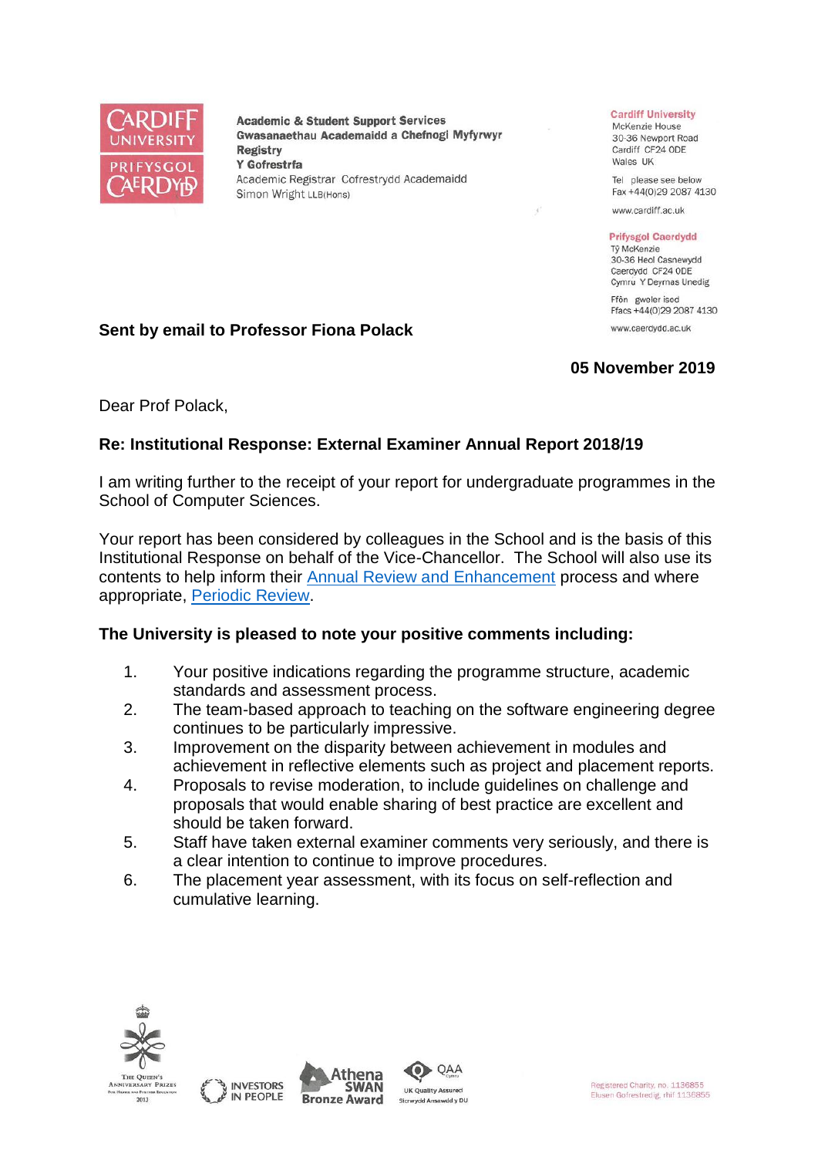

**Academic & Student Support Services** Gwasanaethau Academaidd a Chefnogi Myfyrwyr **Registry** Y Gofrestrfa Academic Registrar Cofrestrydd Academaidd Simon Wright LLB(Hons)

#### **Cardiff University**

McKenzie House 30-36 Newport Road Cardiff CF24 ODE Wales UK

Tel please see below Fax +44(0)29 2087 4130

www.cardiff.ac.uk

#### **Prifysgol Caerdydd**

Tỷ McKenzie 30-36 Heol Casnewydd Caerdydd CF24 ODE Cymru Y Deyrnas Unedig

Ffôn gweler isod Ffacs +44(0)29 2087 4130 www.caerdydd.ac.uk

# **05 November 2019**

## **Sent by email to Professor Fiona Polack**

Dear Prof Polack,

## **Re: Institutional Response: External Examiner Annual Report 2018/19**

I am writing further to the receipt of your report for undergraduate programmes in the School of Computer Sciences.

Your report has been considered by colleagues in the School and is the basis of this Institutional Response on behalf of the Vice-Chancellor. The School will also use its contents to help inform their [Annual Review and Enhancement](https://www.cardiff.ac.uk/public-information/quality-and-standards/monitoring-and-review/annual-review-and-enhancement) process and where appropriate, [Periodic Review.](http://www.cardiff.ac.uk/public-information/quality-and-standards/monitoring-and-review/periodic-review)

## **The University is pleased to note your positive comments including:**

- 1. Your positive indications regarding the programme structure, academic standards and assessment process.
- 2. The team-based approach to teaching on the software engineering degree continues to be particularly impressive.
- 3. Improvement on the disparity between achievement in modules and achievement in reflective elements such as project and placement reports.
- 4. Proposals to revise moderation, to include guidelines on challenge and proposals that would enable sharing of best practice are excellent and should be taken forward.
- 5. Staff have taken external examiner comments very seriously, and there is a clear intention to continue to improve procedures.
- 6. The placement year assessment, with its focus on self-reflection and cumulative learning.